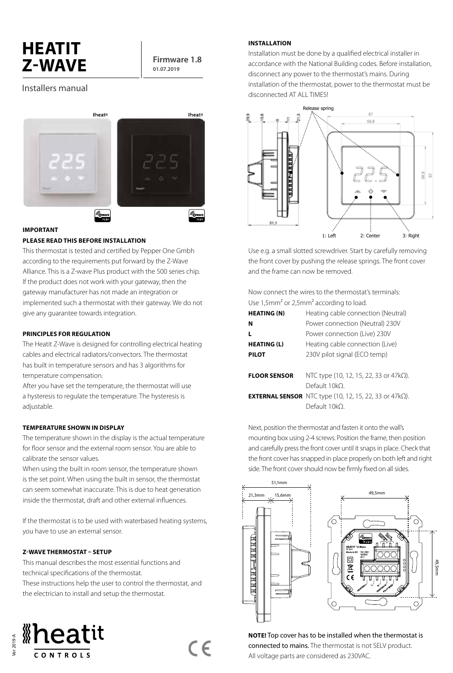# **HEATIT**   $Z-WAVE$  **Firmware 1.8**

**01.07.2019**

# Installers manual





# **IMPORTANT**

# **PLEASE READ THIS BEFORE INSTALLATION**

This thermostat is tested and certified by Pepper One Gmbh according to the requirements put forward by the Z-Wave Alliance. This is a Z-wave Plus product with the 500 series chip. If the product does not work with your gateway, then the gateway manufacturer has not made an integration or implemented such a thermostat with their gateway. We do not give any guarantee towards integration.

# **PRINCIPLES FOR REGULATION**

The Heatit Z-Wave is designed for controlling electrical heating cables and electrical radiators/convectors. The thermostat has built in temperature sensors and has 3 algorithms for temperature compensation.

After you have set the temperature, the thermostat will use a hysteresis to regulate the temperature. The hysteresis is adjustable.

# **TEMPERATURE SHOWN IN DISPLAY**

The temperature shown in the display is the actual temperature for floor sensor and the external room sensor. You are able to calibrate the sensor values.

When using the built in room sensor, the temperature shown is the set point. When using the built in sensor, the thermostat can seem somewhat inaccurate. This is due to heat generation inside the thermostat, draft and other external influences.

If the thermostat is to be used with waterbased heating systems, you have to use an external sensor.

#### **Z-WAVE THERMOSTAT – SETUP**

This manual describes the most essential functions and technical specifications of the thermostat. These instructions help the user to control the thermostat, and the electrician to install and setup the thermostat.

(  $\epsilon$ 



#### **INSTALLATION**

Installation must be done by a qualified electrical installer in accordance with the National Building codes. Before installation, disconnect any power to the thermostat's mains. During installation of the thermostat, power to the thermostat must be disconnected AT ALL TIMES!



Use e.g. a small slotted screwdriver. Start by carefully removing the front cover by pushing the release springs. The front cover and the frame can now be removed.

Now connect the wires to the thermostat's terminals: Use 1,5mm² or 2,5mm² according to load.

| <b>HEATING (N)</b>  | Heating cable connection (Neutral)                                     |  |
|---------------------|------------------------------------------------------------------------|--|
| N                   | Power connection (Neutral) 230V                                        |  |
|                     | Power connection (Live) 230V                                           |  |
| <b>HEATING (L)</b>  | Heating cable connection (Live)                                        |  |
| <b>PILOT</b>        | 230V pilot signal (ECO temp)                                           |  |
|                     |                                                                        |  |
| <b>FLOOR SENSOR</b> | NTC type (10, 12, 15, 22, 33 or 47k $\Omega$ ).                        |  |
|                     | Default 10kO                                                           |  |
|                     | <b>EXTERNAL SENSOR</b> NTC type (10, 12, 15, 22, 33 or 47k $\Omega$ ). |  |
|                     | Default 10kO                                                           |  |
|                     |                                                                        |  |

Next, position the thermostat and fasten it onto the wall's mounting box using 2-4 screws. Position the frame, then position and carefully press the front cover until it snaps in place. Check that the front cover has snapped in place properly on both left and right side. The front cover should now be firmly fixed on all sides.



**NOTE!** Top cover has to be installed when the thermostat is connected to mains. The thermostat is not SELV product. All voltage parts are considered as 230VAC.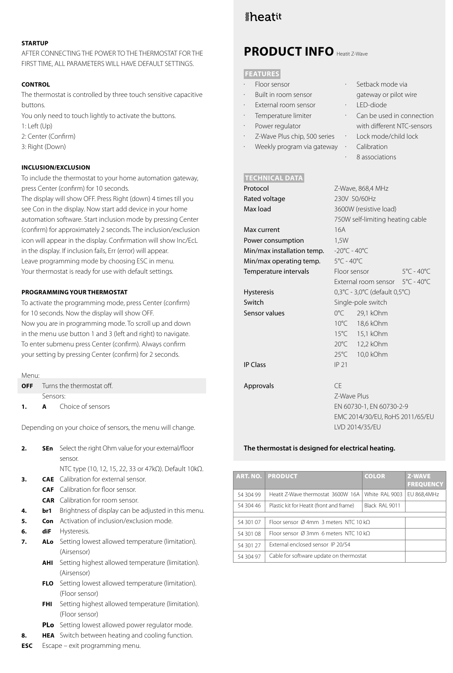### **STARTUP**

AFTER CONNECTING THE POWER TO THE THERMOSTAT FOR THE FIRST TIME, ALL PARAMETERS WILL HAVE DEFAULT SETTINGS.

# **CONTROL**

The thermostat is controlled by three touch sensitive capacitive buttons.

You only need to touch lightly to activate the buttons.

- 1: Left (Up)
- 2: Center (Confirm)
- 3: Right (Down)

# **INCLUSION/EXCLUSION**

To include the thermostat to your home automation gateway, press Center (confirm) for 10 seconds.

The display will show OFF. Press Right (down) 4 times till you see Con in the display. Now start add device in your home automation software. Start inclusion mode by pressing Center (confirm) for approximately 2 seconds. The inclusion/exclusion icon will appear in the display. Confirmation will show Inc/EcL in the display. If inclusion fails, Err (error) will appear. Leave programming mode by choosing ESC in menu. Your thermostat is ready for use with default settings.

# **PROGRAMMING YOUR THERMOSTAT**

To activate the programming mode, press Center (confirm) for 10 seconds. Now the display will show OFF. Now you are in programming mode. To scroll up and down in the menu use button 1 and 3 (left and right) to navigate. To enter submenu press Center (confirm). Always confirm your setting by pressing Center (confirm) for 2 seconds.

| Menu: |          |                                      |  |
|-------|----------|--------------------------------------|--|
|       |          | <b>OFF</b> Turns the thermostat off. |  |
|       | Sensors: |                                      |  |
| 1.    |          | <b>A</b> Choice of sensors           |  |
|       |          |                                      |  |

Depending on your choice of sensors, the menu will change.

| 2. | <b>SEn</b> Select the right Ohm value for your external/floor |
|----|---------------------------------------------------------------|
|    | sensor.                                                       |
|    | NTC type (10, 12, 15, 22, 33 or 47kΩ). Default 10kΩ.          |
| 3. | <b>CAE</b> Calibration for external sensor.                   |
|    | <b>CAF</b> Calibration for floor sensor.                      |
|    | <b>CAR</b> Calibration for room sensor.                       |
|    | Drightness of display can be adjusted in this menu            |

- **4. br1** Brightness of display can be adjusted in this menu.
- **5. Con** Activation of inclusion/exclusion mode.
- **6. diF** Hysteresis.
- **7. ALo** Setting lowest allowed temperature (limitation). (Airsensor)
	- **AHI** Setting highest allowed temperature (limitation). (Airsensor)
	- **FLO** Setting lowest allowed temperature (limitation). (Floor sensor)
	- **FHI** Setting highest allowed temperature (limitation). (Floor sensor)
	- **PLo** Setting lowest allowed power regulator mode.
- **8. HEA** Switch between heating and cooling function.
- **ESC** Escape exit programming menu.

# *\*heatit*

# **PRODUCT INFO** Heatit Z-Wave

### **FEATURES**

- Floor sensor
- Built in room sensor
- External room sensor
- Temperature limiter
- Power regulator
- Z-Wave Plus chip, 500 series
- Weekly program via gateway ·

# **TECHNICAL DATA**

| Protocol                   | Z-Wave, 868,4 MHz                                       |                                 |  |  |
|----------------------------|---------------------------------------------------------|---------------------------------|--|--|
| Rated voltage              | 230V 50/60Hz                                            |                                 |  |  |
| Max load                   |                                                         | 3600W (resistive load)          |  |  |
|                            | 750W self-limiting heating cable                        |                                 |  |  |
| Max current                | 16A                                                     |                                 |  |  |
| Power consumption          | 1,5W                                                    |                                 |  |  |
| Min/max installation temp. | $-20^{\circ}$ C - 40 $^{\circ}$ C                       |                                 |  |  |
| Min/max operating temp.    | $5^{\circ}$ C - 40 $^{\circ}$ C                         |                                 |  |  |
| Temperature intervals      | Floor sensor                                            | $5^{\circ}$ C - 40 $^{\circ}$ C |  |  |
|                            | External room sensor                                    | $5^{\circ}$ C - 40 $^{\circ}$ C |  |  |
| <b>Hysteresis</b>          | $0,3^{\circ}C - 3,0^{\circ}C$ (default $0,5^{\circ}C$ ) |                                 |  |  |
| Switch                     | Single-pole switch                                      |                                 |  |  |
| Sensor values              | $0^{\circ}$ C<br>29,1 kOhm                              |                                 |  |  |
|                            | $10^{\circ}$ C<br>18,6 kOhm                             |                                 |  |  |
|                            | $15^{\circ}$ C<br>15,1 kOhm                             |                                 |  |  |
|                            | $20^{\circ}$ C<br>12,2 kOhm                             |                                 |  |  |
|                            | $25^{\circ}$ C<br>10,0 kOhm                             |                                 |  |  |
| <b>IP Class</b>            | IP 21                                                   |                                 |  |  |
|                            |                                                         |                                 |  |  |
| Approvals                  | CF                                                      |                                 |  |  |

Z-Wave Plus EN 60730-1, EN 60730-2-9 EMC 2014/30/EU, RoHS 2011/65/EU LVD 2014/35/EU

#### **The thermostat is designed for electrical heating.**

|           | <b>ART. NO. PRODUCT</b>                                    | <b>COLOR</b>   | <b>Z-WAVE</b><br><b>FREQUENCY</b> |
|-----------|------------------------------------------------------------|----------------|-----------------------------------|
| 54 304 99 | Heatit 7-Wave thermostat 3600W 16A                         | White RAI 9003 | EU 868,4MHz                       |
| 54 304 46 | Black RAI 9011<br>Plastic kit for Heatit (front and frame) |                |                                   |
|           |                                                            |                |                                   |
| 54 301 07 | Floor sensor Ø4mm 3 meters NTC 10 kO                       |                |                                   |
| 54 301 08 | Floor sensor Ø3mm 6 meters NTC 10 kO                       |                |                                   |
| 54 301 27 | External enclosed sensor IP 20/54                          |                |                                   |
| 54 304 97 | Cable for software update on thermostat                    |                |                                   |

- Setback mode via gateway or pilot wire
- LED-diode
- Can be used in connection with different NTC-sensors
	- Lock mode/child lock
- Calibration
	- 8 associations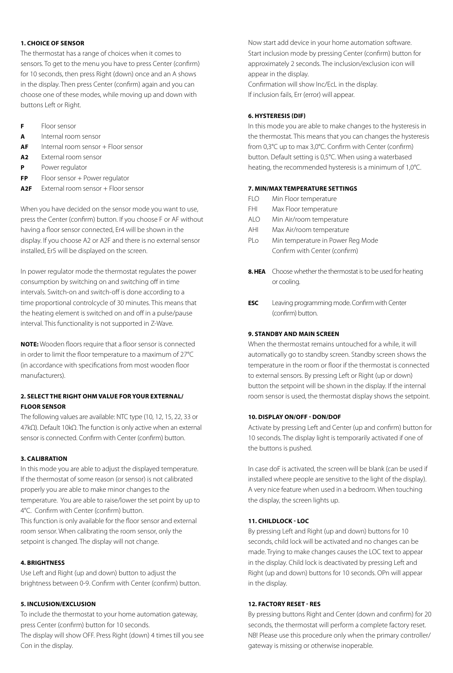### **1. CHOICE OF SENSOR**

The thermostat has a range of choices when it comes to sensors. To get to the menu you have to press Center (confirm) for 10 seconds, then press Right (down) once and an A shows in the display. Then press Center (confirm) again and you can choose one of these modes, while moving up and down with buttons Left or Right.

- **F** Floor sensor
- **A** Internal room sensor
- **AF** Internal room sensor + Floor sensor
- **A2** External room sensor
- **P** Power regulator
- **FP** Floor sensor + Power regulator
- **A2F** External room sensor + Floor sensor

When you have decided on the sensor mode you want to use, press the Center (confirm) button. If you choose F or AF without having a floor sensor connected, Er4 will be shown in the display. If you choose A2 or A2F and there is no external sensor installed, Er5 will be displayed on the screen.

In power regulator mode the thermostat regulates the power consumption by switching on and switching off in time intervals. Switch-on and switch-off is done according to a time proportional controlcycle of 30 minutes. This means that the heating element is switched on and off in a pulse/pause interval. This functionality is not supported in Z-Wave.

**NOTE:** Wooden floors require that a floor sensor is connected in order to limit the floor temperature to a maximum of 27°C (in accordance with specifications from most wooden floor manufacturers).

# **2. SELECT THE RIGHT OHM VALUE FOR YOUR EXTERNAL/ FLOOR SENSOR**

The following values are available: NTC type (10, 12, 15, 22, 33 or 47kΩ). Default 10kΩ. The function is only active when an external sensor is connected. Confirm with Center (confirm) button.

# **3. CALIBRATION**

In this mode you are able to adjust the displayed temperature. If the thermostat of some reason (or sensor) is not calibrated properly you are able to make minor changes to the temperature. You are able to raise/lower the set point by up to 4°C. Confirm with Center (confirm) button.

This function is only available for the floor sensor and external room sensor. When calibrating the room sensor, only the setpoint is changed. The display will not change.

# **4. BRIGHTNESS**

Use Left and Right (up and down) button to adjust the brightness between 0-9. Confirm with Center (confirm) button.

# **5. INCLUSION/EXCLUSION**

To include the thermostat to your home automation gateway, press Center (confirm) button for 10 seconds.

The display will show OFF. Press Right (down) 4 times till you see Con in the display.

Now start add device in your home automation software. Start inclusion mode by pressing Center (confirm) button for approximately 2 seconds. The inclusion/exclusion icon will appear in the display.

Confirmation will show Inc/EcL in the display. If inclusion fails, Err (error) will appear.

# **6. HYSTERESIS (DIF)**

In this mode you are able to make changes to the hysteresis in the thermostat. This means that you can changes the hysteresis from 0,3°C up to max 3,0°C. Confirm with Center (confirm) button. Default setting is 0,5°C. When using a waterbased heating, the recommended hysteresis is a minimum of 1,0°C.

# **7. MIN/MAX TEMPERATURE SETTINGS**

- FLO Min Floor temperature
- FHI Max Floor temperature
- ALO Min Air/room temperature
- AHI Max Air/room temperature
- PLo Min temperature in Power Reg Mode Confirm with Center (confirm)
- **8. HEA** Choose whether the thermostat is to be used for heating or cooling.
- **ESC** Leaving programming mode. Confirm with Center (confirm) button.

# **9. STANDBY AND MAIN SCREEN**

When the thermostat remains untouched for a while, it will automatically go to standby screen. Standby screen shows the temperature in the room or floor if the thermostat is connected to external sensors. By pressing Left or Right (up or down) button the setpoint will be shown in the display. If the internal room sensor is used, the thermostat display shows the setpoint.

# **10. DISPLAY ON/OFF - DON/DOF**

Activate by pressing Left and Center (up and confirm) button for 10 seconds. The display light is temporarily activated if one of the buttons is pushed.

In case doF is activated, the screen will be blank (can be used if installed where people are sensitive to the light of the display). A very nice feature when used in a bedroom. When touching the display, the screen lights up.

# **11. CHILDLOCK - LOC**

By pressing Left and Right (up and down) buttons for 10 seconds, child lock will be activated and no changes can be made. Trying to make changes causes the LOC text to appear in the display. Child lock is deactivated by pressing Left and Right (up and down) buttons for 10 seconds. OPn will appear in the display.

### **12. FACTORY RESET - RES**

By pressing buttons Right and Center (down and confirm) for 20 seconds, the thermostat will perform a complete factory reset. NB! Please use this procedure only when the primary controller/ gateway is missing or otherwise inoperable.